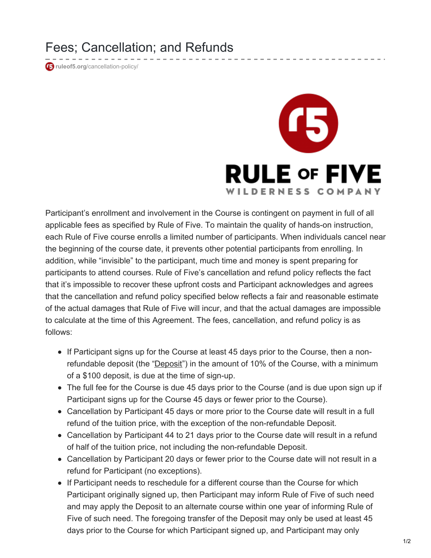Fees; Cancellation; and Refunds

*<u>r</u>* ruleof5.org[/cancellation-policy/](http://ruleof5.org/cancellation-policy/)



Participant's enrollment and involvement in the Course is contingent on payment in full of all applicable fees as specified by Rule of Five. To maintain the quality of hands-on instruction, each Rule of Five course enrolls a limited number of participants. When individuals cancel near the beginning of the course date, it prevents other potential participants from enrolling. In addition, while "invisible" to the participant, much time and money is spent preparing for participants to attend courses. Rule of Five's cancellation and refund policy reflects the fact that it's impossible to recover these upfront costs and Participant acknowledges and agrees that the cancellation and refund policy specified below reflects a fair and reasonable estimate of the actual damages that Rule of Five will incur, and that the actual damages are impossible to calculate at the time of this Agreement. The fees, cancellation, and refund policy is as follows:

- If Participant signs up for the Course at least 45 days prior to the Course, then a nonrefundable deposit (the "Deposit") in the amount of 10% of the Course, with a minimum of a \$100 deposit, is due at the time of sign-up.
- The full fee for the Course is due 45 days prior to the Course (and is due upon sign up if Participant signs up for the Course 45 days or fewer prior to the Course).
- Cancellation by Participant 45 days or more prior to the Course date will result in a full refund of the tuition price, with the exception of the non-refundable Deposit.
- Cancellation by Participant 44 to 21 days prior to the Course date will result in a refund of half of the tuition price, not including the non-refundable Deposit.
- Cancellation by Participant 20 days or fewer prior to the Course date will not result in a refund for Participant (no exceptions).
- If Participant needs to reschedule for a different course than the Course for which Participant originally signed up, then Participant may inform Rule of Five of such need and may apply the Deposit to an alternate course within one year of informing Rule of Five of such need. The foregoing transfer of the Deposit may only be used at least 45 days prior to the Course for which Participant signed up, and Participant may only